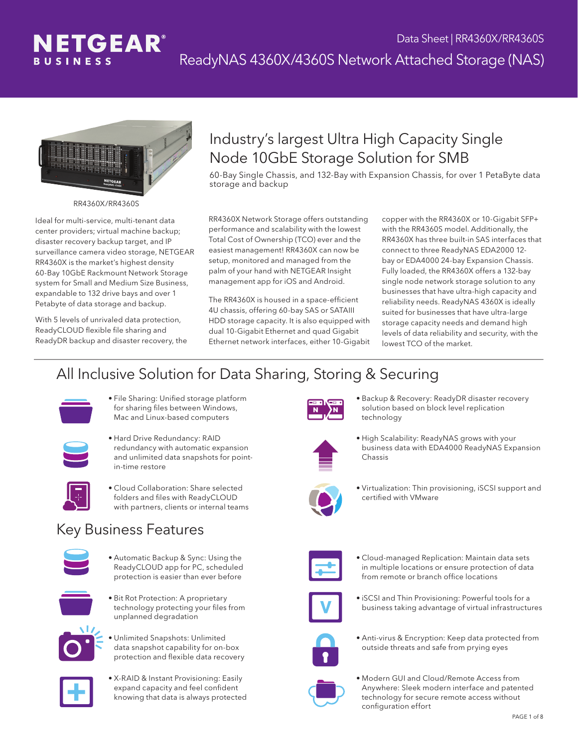



RR4360X/RR4360S

Ideal for multi-service, multi-tenant data center providers; virtual machine backup; disaster recovery backup target, and IP surveillance camera video storage, NETGEAR RR4360X is the market's highest density 60-Bay 10GbE Rackmount Network Storage system for Small and Medium Size Business, expandable to 132 drive bays and over 1 Petabyte of data storage and backup.

With 5 levels of unrivaled data protection, ReadyCLOUD flexible file sharing and ReadyDR backup and disaster recovery, the

#### Industry's largest Ultra High Capacity Single Node 10GbE Storage Solution for SMB

60-Bay Single Chassis, and 132-Bay with Expansion Chassis, for over 1 PetaByte data storage and backup

RR4360X Network Storage offers outstanding performance and scalability with the lowest Total Cost of Ownership (TCO) ever and the easiest management! RR4360X can now be setup, monitored and managed from the palm of your hand with NETGEAR Insight management app for iOS and Android.

The RR4360X is housed in a space-efficient 4U chassis, offering 60-bay SAS or SATAIII HDD storage capacity. It is also equipped with dual 10-Gigabit Ethernet and quad Gigabit Ethernet network interfaces, either 10-Gigabit

copper with the RR4360X or 10-Gigabit SFP+ with the RR4360S model. Additionally, the RR4360X has three built-in SAS interfaces that connect to three ReadyNAS EDA2000 12 bay or EDA4000 24-bay Expansion Chassis. Fully loaded, the RR4360X offers a 132-bay single node network storage solution to any businesses that have ultra-high capacity and reliability needs. ReadyNAS 4360X is ideally suited for businesses that have ultra-large storage capacity needs and demand high levels of data reliability and security, with the lowest TCO of the market.

#### All Inclusive Solution for Data Sharing, Storing & Securing



• File Sharing: Unified storage platform for sharing files between Windows, Mac and Linux-based computers



- • Hard Drive Redundancy: RAID redundancy with automatic expansion and unlimited data snapshots for pointin-time restore
- 
- • Cloud Collaboration: Share selected folders and files with ReadyCLOUD with partners, clients or internal teams

#### Key Business Features



• Automatic Backup & Sync: Using the ReadyCLOUD app for PC, scheduled protection is easier than ever before



**•** Bit Rot Protection: A proprietary technology protecting your files from unplanned degradation



- • Unlimited Snapshots: Unlimited data snapshot capability for on-box protection and flexible data recovery
- • X-RAID & Instant Provisioning: Easily expand capacity and feel confident knowing that data is always protected



• Backup & Recovery: ReadyDR disaster recovery solution based on block level replication technology



• High Scalability: ReadyNAS grows with your business data with EDA4000 ReadyNAS Expansion Chassis



• Virtualization: Thin provisioning, iSCSI support and certified with VMware



• Cloud-managed Replication: Maintain data sets in multiple locations or ensure protection of data from remote or branch office locations



• iSCSI and Thin Provisioning: Powerful tools for a business taking advantage of virtual infrastructures



• Anti-virus & Encryption: Keep data protected from outside threats and safe from prying eyes



• Modern GUI and Cloud/Remote Access from Anywhere: Sleek modern interface and patented technology for secure remote access without configuration effort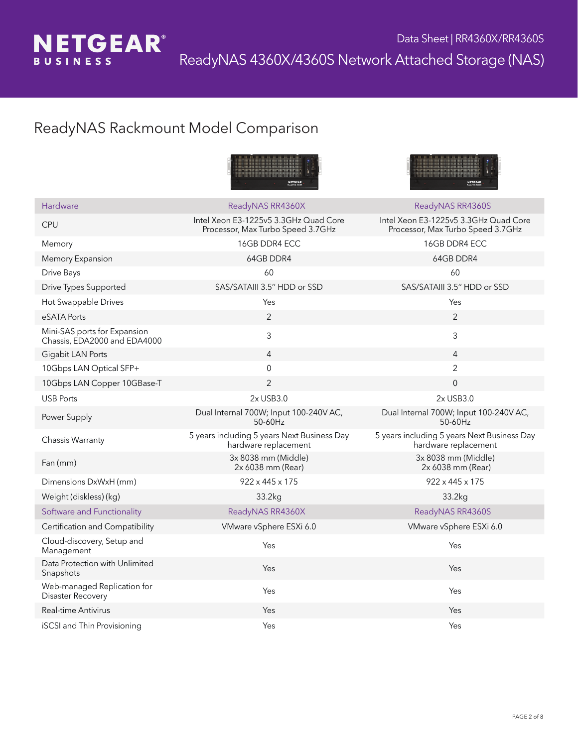

#### ReadyNAS Rackmount Model Comparison





| Hardware                                                     | ReadyNAS RR4360X                                                           | ReadyNAS RR4360S                                                           |
|--------------------------------------------------------------|----------------------------------------------------------------------------|----------------------------------------------------------------------------|
| <b>CPU</b>                                                   | Intel Xeon E3-1225v5 3.3GHz Quad Core<br>Processor, Max Turbo Speed 3.7GHz | Intel Xeon E3-1225v5 3.3GHz Quad Core<br>Processor, Max Turbo Speed 3.7GHz |
| Memory                                                       | 16GB DDR4 ECC                                                              | 16GB DDR4 ECC                                                              |
| Memory Expansion                                             | 64GB DDR4                                                                  | 64GB DDR4                                                                  |
| Drive Bays                                                   | 60                                                                         | 60                                                                         |
| Drive Types Supported                                        | SAS/SATAIII 3.5" HDD or SSD                                                | SAS/SATAIII 3.5" HDD or SSD                                                |
| Hot Swappable Drives                                         | Yes                                                                        | Yes                                                                        |
| eSATA Ports                                                  | 2                                                                          | 2                                                                          |
| Mini-SAS ports for Expansion<br>Chassis, EDA2000 and EDA4000 | 3                                                                          | 3                                                                          |
| Gigabit LAN Ports                                            | 4                                                                          | 4                                                                          |
| 10Gbps LAN Optical SFP+                                      | $\Omega$                                                                   | $\overline{2}$                                                             |
| 10Gbps LAN Copper 10GBase-T                                  | 2                                                                          | $\overline{0}$                                                             |
| <b>USB Ports</b>                                             | 2x USB3.0                                                                  | 2x USB3.0                                                                  |
| Power Supply                                                 | Dual Internal 700W; Input 100-240V AC,<br>50-60Hz                          | Dual Internal 700W; Input 100-240V AC,<br>50-60Hz                          |
| Chassis Warranty                                             | 5 years including 5 years Next Business Day<br>hardware replacement        | 5 years including 5 years Next Business Day<br>hardware replacement        |
| Fan (mm)                                                     | 3x 8038 mm (Middle)<br>2x 6038 mm (Rear)                                   | 3x 8038 mm (Middle)<br>2x 6038 mm (Rear)                                   |
| Dimensions DxWxH (mm)                                        | $922 \times 445 \times 175$                                                | 922 x 445 x 175                                                            |
| Weight (diskless) (kg)                                       | 33.2kg                                                                     | 33.2kg                                                                     |
| Software and Functionality                                   | ReadyNAS RR4360X                                                           | ReadyNAS RR4360S                                                           |
| Certification and Compatibility                              | VMware vSphere ESXi 6.0                                                    | VMware vSphere ESXi 6.0                                                    |
| Cloud-discovery, Setup and<br>Management                     | Yes                                                                        | Yes                                                                        |
| Data Protection with Unlimited<br>Snapshots                  | Yes                                                                        | Yes                                                                        |
| Web-managed Replication for<br>Disaster Recovery             | Yes                                                                        | Yes                                                                        |
| Real-time Antivirus                                          | Yes                                                                        | Yes                                                                        |
| iSCSI and Thin Provisioning                                  | Yes                                                                        | Yes                                                                        |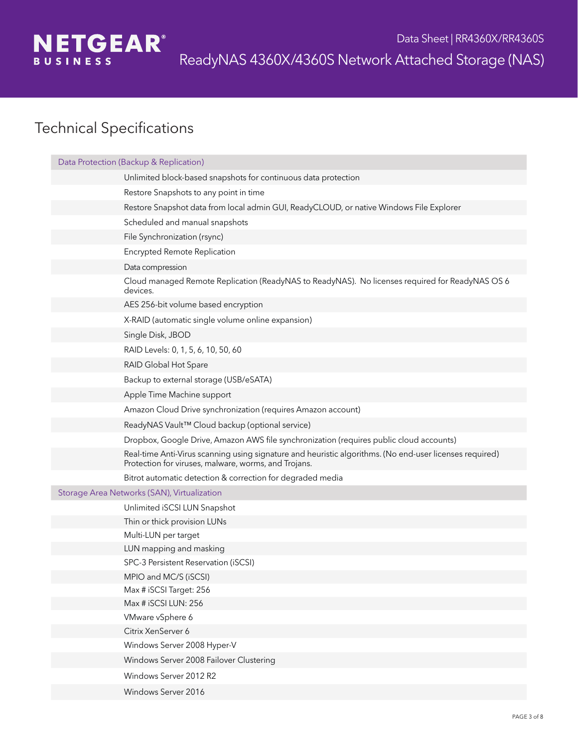

| Data Protection (Backup & Replication)                                                                                                                          |  |  |
|-----------------------------------------------------------------------------------------------------------------------------------------------------------------|--|--|
| Unlimited block-based snapshots for continuous data protection                                                                                                  |  |  |
| Restore Snapshots to any point in time                                                                                                                          |  |  |
| Restore Snapshot data from local admin GUI, ReadyCLOUD, or native Windows File Explorer                                                                         |  |  |
| Scheduled and manual snapshots                                                                                                                                  |  |  |
| File Synchronization (rsync)                                                                                                                                    |  |  |
| <b>Encrypted Remote Replication</b>                                                                                                                             |  |  |
| Data compression                                                                                                                                                |  |  |
| Cloud managed Remote Replication (ReadyNAS to ReadyNAS). No licenses required for ReadyNAS OS 6<br>devices.                                                     |  |  |
| AES 256-bit volume based encryption                                                                                                                             |  |  |
| X-RAID (automatic single volume online expansion)                                                                                                               |  |  |
| Single Disk, JBOD                                                                                                                                               |  |  |
| RAID Levels: 0, 1, 5, 6, 10, 50, 60                                                                                                                             |  |  |
| RAID Global Hot Spare                                                                                                                                           |  |  |
| Backup to external storage (USB/eSATA)                                                                                                                          |  |  |
| Apple Time Machine support                                                                                                                                      |  |  |
| Amazon Cloud Drive synchronization (requires Amazon account)                                                                                                    |  |  |
| ReadyNAS Vault™ Cloud backup (optional service)                                                                                                                 |  |  |
| Dropbox, Google Drive, Amazon AWS file synchronization (requires public cloud accounts)                                                                         |  |  |
| Real-time Anti-Virus scanning using signature and heuristic algorithms. (No end-user licenses required)<br>Protection for viruses, malware, worms, and Trojans. |  |  |
| Bitrot automatic detection & correction for degraded media                                                                                                      |  |  |
| Storage Area Networks (SAN), Virtualization                                                                                                                     |  |  |
| Unlimited iSCSI LUN Snapshot                                                                                                                                    |  |  |
| Thin or thick provision LUNs                                                                                                                                    |  |  |
| Multi-LUN per target                                                                                                                                            |  |  |
| LUN mapping and masking                                                                                                                                         |  |  |
| SPC-3 Persistent Reservation (iSCSI)                                                                                                                            |  |  |
| MPIO and MC/S (iSCSI)                                                                                                                                           |  |  |
| Max # iSCSI Target: 256<br>Max # iSCSI LUN: 256                                                                                                                 |  |  |
| VMware vSphere 6                                                                                                                                                |  |  |
| Citrix XenServer 6                                                                                                                                              |  |  |
| Windows Server 2008 Hyper-V                                                                                                                                     |  |  |
| Windows Server 2008 Failover Clustering                                                                                                                         |  |  |
| Windows Server 2012 R2                                                                                                                                          |  |  |
|                                                                                                                                                                 |  |  |
| Windows Server 2016                                                                                                                                             |  |  |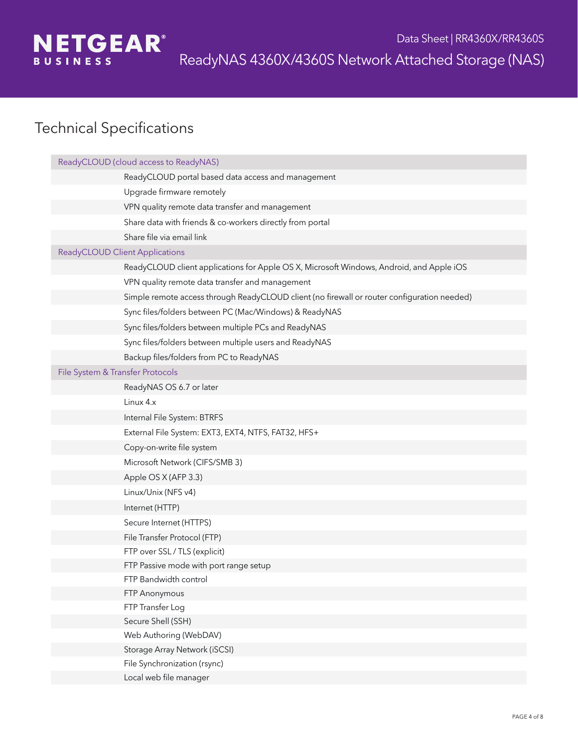

| ReadyCLOUD (cloud access to ReadyNAS)                                                       |
|---------------------------------------------------------------------------------------------|
| ReadyCLOUD portal based data access and management                                          |
| Upgrade firmware remotely                                                                   |
| VPN quality remote data transfer and management                                             |
| Share data with friends & co-workers directly from portal                                   |
| Share file via email link                                                                   |
| <b>ReadyCLOUD Client Applications</b>                                                       |
| ReadyCLOUD client applications for Apple OS X, Microsoft Windows, Android, and Apple iOS    |
| VPN quality remote data transfer and management                                             |
| Simple remote access through ReadyCLOUD client (no firewall or router configuration needed) |
| Sync files/folders between PC (Mac/Windows) & ReadyNAS                                      |
| Sync files/folders between multiple PCs and ReadyNAS                                        |
| Sync files/folders between multiple users and ReadyNAS                                      |
| Backup files/folders from PC to ReadyNAS                                                    |
| File System & Transfer Protocols                                                            |
| ReadyNAS OS 6.7 or later                                                                    |
| Linux 4.x                                                                                   |
| Internal File System: BTRFS                                                                 |
| External File System: EXT3, EXT4, NTFS, FAT32, HFS+                                         |
| Copy-on-write file system                                                                   |
| Microsoft Network (CIFS/SMB 3)                                                              |
| Apple OS X (AFP 3.3)                                                                        |
| Linux/Unix (NFS v4)                                                                         |
| Internet (HTTP)                                                                             |
| Secure Internet (HTTPS)                                                                     |
| File Transfer Protocol (FTP)                                                                |
| FTP over SSL / TLS (explicit)                                                               |
| FTP Passive mode with port range setup                                                      |
| FTP Bandwidth control                                                                       |
| FTP Anonymous                                                                               |
| FTP Transfer Log                                                                            |
| Secure Shell (SSH)                                                                          |
| Web Authoring (WebDAV)                                                                      |
| Storage Array Network (iSCSI)                                                               |
| File Synchronization (rsync)                                                                |
| Local web file manager                                                                      |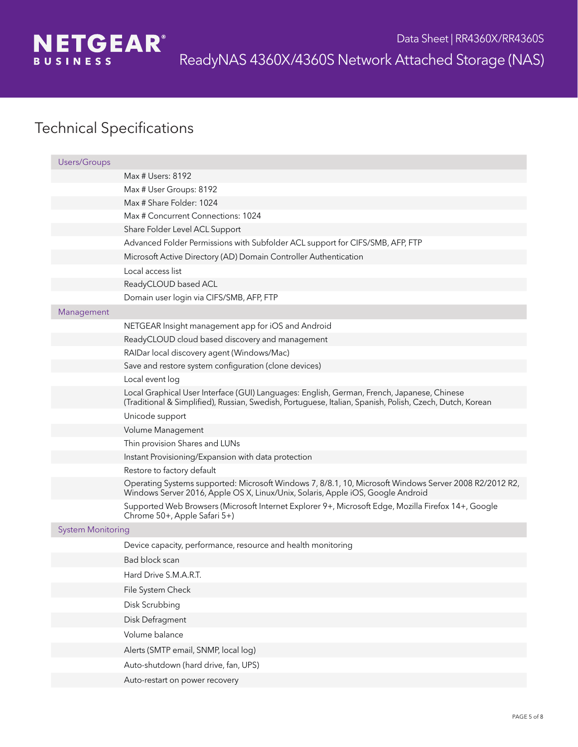

| <b>Users/Groups</b>      |                                                                                                                                                                                                        |
|--------------------------|--------------------------------------------------------------------------------------------------------------------------------------------------------------------------------------------------------|
|                          | Max # Users: 8192                                                                                                                                                                                      |
|                          | Max # User Groups: 8192                                                                                                                                                                                |
|                          | Max # Share Folder: 1024                                                                                                                                                                               |
|                          | Max # Concurrent Connections: 1024                                                                                                                                                                     |
|                          | Share Folder Level ACL Support                                                                                                                                                                         |
|                          | Advanced Folder Permissions with Subfolder ACL support for CIFS/SMB, AFP, FTP                                                                                                                          |
|                          | Microsoft Active Directory (AD) Domain Controller Authentication                                                                                                                                       |
|                          | Local access list                                                                                                                                                                                      |
|                          | ReadyCLOUD based ACL                                                                                                                                                                                   |
|                          | Domain user login via CIFS/SMB, AFP, FTP                                                                                                                                                               |
| Management               |                                                                                                                                                                                                        |
|                          | NETGEAR Insight management app for iOS and Android                                                                                                                                                     |
|                          | ReadyCLOUD cloud based discovery and management                                                                                                                                                        |
|                          | RAIDar local discovery agent (Windows/Mac)                                                                                                                                                             |
|                          | Save and restore system configuration (clone devices)                                                                                                                                                  |
|                          | Local event log                                                                                                                                                                                        |
|                          | Local Graphical User Interface (GUI) Languages: English, German, French, Japanese, Chinese<br>(Traditional & Simplified), Russian, Swedish, Portuguese, Italian, Spanish, Polish, Czech, Dutch, Korean |
|                          | Unicode support                                                                                                                                                                                        |
|                          | Volume Management                                                                                                                                                                                      |
|                          | Thin provision Shares and LUNs                                                                                                                                                                         |
|                          | Instant Provisioning/Expansion with data protection                                                                                                                                                    |
|                          | Restore to factory default                                                                                                                                                                             |
|                          | Operating Systems supported: Microsoft Windows 7, 8/8.1, 10, Microsoft Windows Server 2008 R2/2012 R2,<br>Windows Server 2016, Apple OS X, Linux/Unix, Solaris, Apple iOS, Google Android              |
|                          | Supported Web Browsers (Microsoft Internet Explorer 9+, Microsoft Edge, Mozilla Firefox 14+, Google<br>Chrome 50+, Apple Safari 5+)                                                                    |
| <b>System Monitoring</b> |                                                                                                                                                                                                        |
|                          | Device capacity, performance, resource and health monitoring                                                                                                                                           |
|                          | Bad block scan                                                                                                                                                                                         |
|                          | Hard Drive S.M.A.R.T.                                                                                                                                                                                  |
|                          | File System Check                                                                                                                                                                                      |
|                          | Disk Scrubbing                                                                                                                                                                                         |
|                          | Disk Defragment                                                                                                                                                                                        |
|                          | Volume balance                                                                                                                                                                                         |
|                          | Alerts (SMTP email, SNMP, local log)                                                                                                                                                                   |
|                          | Auto-shutdown (hard drive, fan, UPS)                                                                                                                                                                   |
|                          | Auto-restart on power recovery                                                                                                                                                                         |
|                          |                                                                                                                                                                                                        |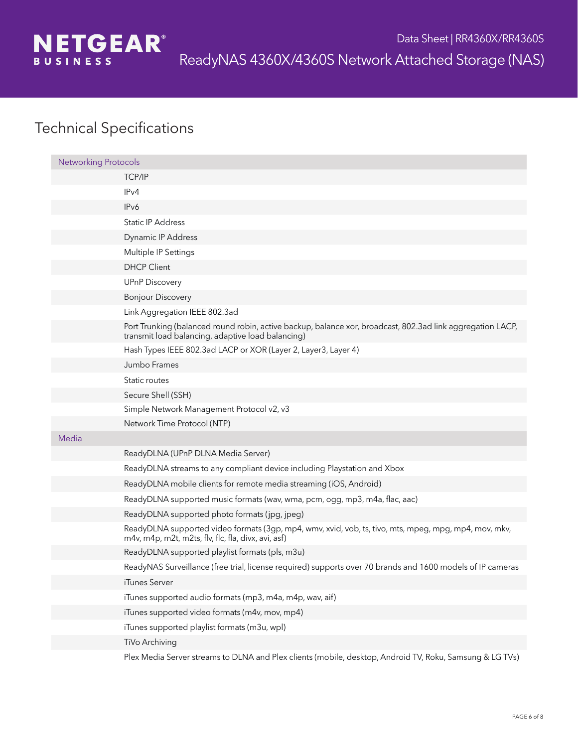

| <b>Networking Protocols</b> |                                                                                                                                                                 |
|-----------------------------|-----------------------------------------------------------------------------------------------------------------------------------------------------------------|
|                             | <b>TCP/IP</b>                                                                                                                                                   |
|                             | IPv4                                                                                                                                                            |
|                             | IP <sub>v</sub> 6                                                                                                                                               |
|                             | Static IP Address                                                                                                                                               |
|                             | Dynamic IP Address                                                                                                                                              |
|                             | Multiple IP Settings                                                                                                                                            |
|                             | <b>DHCP Client</b>                                                                                                                                              |
|                             | <b>UPnP Discovery</b>                                                                                                                                           |
|                             | <b>Bonjour Discovery</b>                                                                                                                                        |
|                             | Link Aggregation IEEE 802.3ad                                                                                                                                   |
|                             | Port Trunking (balanced round robin, active backup, balance xor, broadcast, 802.3ad link aggregation LACP,<br>transmit load balancing, adaptive load balancing) |
|                             | Hash Types IEEE 802.3ad LACP or XOR (Layer 2, Layer3, Layer 4)                                                                                                  |
|                             | Jumbo Frames                                                                                                                                                    |
|                             | Static routes                                                                                                                                                   |
|                             | Secure Shell (SSH)                                                                                                                                              |
|                             | Simple Network Management Protocol v2, v3                                                                                                                       |
|                             | Network Time Protocol (NTP)                                                                                                                                     |
| Media                       |                                                                                                                                                                 |
|                             | ReadyDLNA (UPnP DLNA Media Server)                                                                                                                              |
|                             | ReadyDLNA streams to any compliant device including Playstation and Xbox                                                                                        |
|                             | ReadyDLNA mobile clients for remote media streaming (iOS, Android)                                                                                              |
|                             | ReadyDLNA supported music formats (wav, wma, pcm, ogg, mp3, m4a, flac, aac)                                                                                     |
|                             | ReadyDLNA supported photo formats (jpg, jpeg)                                                                                                                   |
|                             | ReadyDLNA supported video formats (3gp, mp4, wmv, xvid, vob, ts, tivo, mts, mpeg, mpg, mp4, mov, mkv,<br>m4v, m4p, m2t, m2ts, flv, flc, fla, divx, avi, asf)    |
|                             | ReadyDLNA supported playlist formats (pls, m3u)                                                                                                                 |
|                             | ReadyNAS Surveillance (free trial, license required) supports over 70 brands and 1600 models of IP cameras                                                      |
|                             | iTunes Server                                                                                                                                                   |
|                             | iTunes supported audio formats (mp3, m4a, m4p, wav, aif)                                                                                                        |
|                             | iTunes supported video formats (m4v, mov, mp4)                                                                                                                  |
|                             | iTunes supported playlist formats (m3u, wpl)                                                                                                                    |
|                             | TiVo Archiving                                                                                                                                                  |
|                             | Plex Media Server streams to DLNA and Plex clients (mobile, desktop, Android TV, Roku, Samsung & LG TVs)                                                        |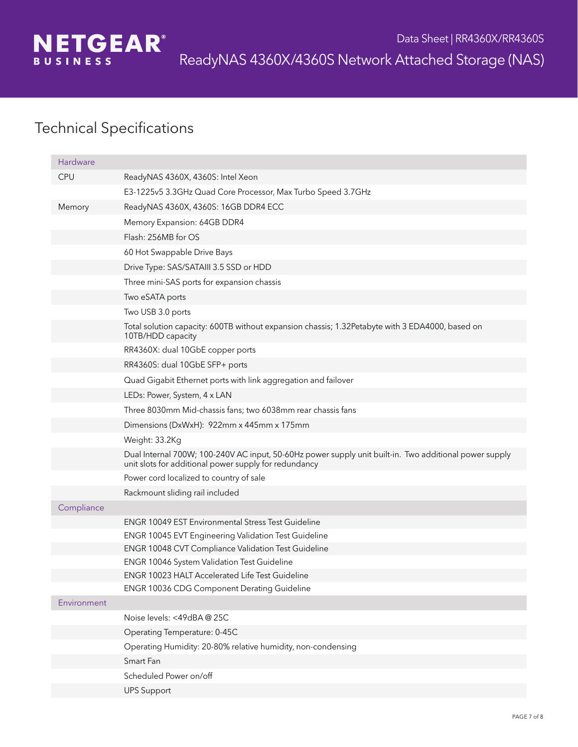

| Hardware    |                                                                                                                                                                 |
|-------------|-----------------------------------------------------------------------------------------------------------------------------------------------------------------|
| <b>CPU</b>  | ReadyNAS 4360X, 4360S: Intel Xeon                                                                                                                               |
|             | E3-1225v5 3.3GHz Quad Core Processor, Max Turbo Speed 3.7GHz                                                                                                    |
| Memory      | ReadyNAS 4360X, 4360S: 16GB DDR4 ECC                                                                                                                            |
|             | Memory Expansion: 64GB DDR4                                                                                                                                     |
|             | Flash: 256MB for OS                                                                                                                                             |
|             | 60 Hot Swappable Drive Bays                                                                                                                                     |
|             | Drive Type: SAS/SATAIII 3.5 SSD or HDD                                                                                                                          |
|             | Three mini-SAS ports for expansion chassis                                                                                                                      |
|             | Two eSATA ports                                                                                                                                                 |
|             | Two USB 3.0 ports                                                                                                                                               |
|             | Total solution capacity: 600TB without expansion chassis; 1.32Petabyte with 3 EDA4000, based on<br>10TB/HDD capacity                                            |
|             | RR4360X: dual 10GbE copper ports                                                                                                                                |
|             | RR4360S: dual 10GbE SFP+ ports                                                                                                                                  |
|             | Quad Gigabit Ethernet ports with link aggregation and failover                                                                                                  |
|             | LEDs: Power, System, 4 x LAN                                                                                                                                    |
|             | Three 8030mm Mid-chassis fans; two 6038mm rear chassis fans                                                                                                     |
|             | Dimensions (DxWxH): 922mm x 445mm x 175mm                                                                                                                       |
|             | Weight: 33.2Kg                                                                                                                                                  |
|             | Dual Internal 700W; 100-240V AC input, 50-60Hz power supply unit built-in. Two additional power supply<br>unit slots for additional power supply for redundancy |
|             | Power cord localized to country of sale                                                                                                                         |
|             | Rackmount sliding rail included                                                                                                                                 |
| Compliance  |                                                                                                                                                                 |
|             | <b>ENGR 10049 EST Environmental Stress Test Guideline</b>                                                                                                       |
|             | <b>ENGR 10045 EVT Engineering Validation Test Guideline</b>                                                                                                     |
|             | ENGR 10048 CVT Compliance Validation Test Guideline                                                                                                             |
|             | ENGR 10046 System Validation Test Guideline                                                                                                                     |
|             | <b>ENGR 10023 HALT Accelerated Life Test Guideline</b>                                                                                                          |
| Environment | ENGR 10036 CDG Component Derating Guideline                                                                                                                     |
|             | Noise levels: <49dBA@25C                                                                                                                                        |
|             | Operating Temperature: 0-45C                                                                                                                                    |
|             | Operating Humidity: 20-80% relative humidity, non-condensing                                                                                                    |
|             | Smart Fan                                                                                                                                                       |
|             | Scheduled Power on/off                                                                                                                                          |
|             | <b>UPS Support</b>                                                                                                                                              |
|             |                                                                                                                                                                 |